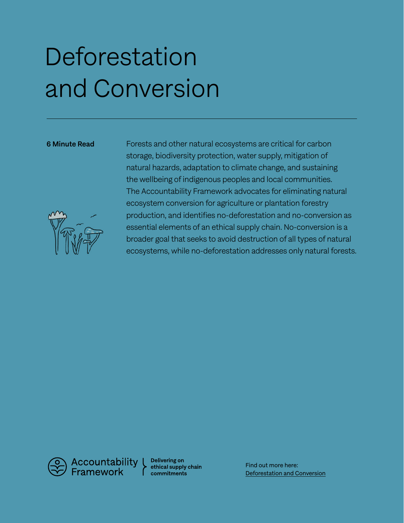# **Deforestation** and Conversion



6 Minute Read Forests and other natural ecosystems are critical for carbon storage, biodiversity protection, water supply, mitigation of natural hazards, adaptation to climate change, and sustaining the wellbeing of indigenous peoples and local communities. The Accountability Framework advocates for eliminating natural ecosystem conversion for agriculture or plantation forestry production, and identifies no-deforestation and no-conversion as essential elements of an ethical supply chain. No-conversion is a broader goal that seeks to avoid destruction of all types of natural ecosystems, while no-deforestation addresses only natural forests.

Accountability<br>Framework

Delivering on ethical supply chain commitments

Find out more here: [Deforestation and Conversion](https://accountability-framework.org/the-framework/topics/deforestation-and-conversion/)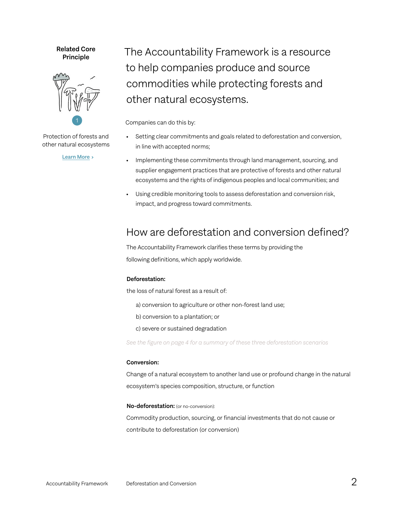### Related Core Principle



Protection of forests and other natural ecosystems

[Learn More](https://accountability-framework.org/core-principles/1-protection-of-forests-and-other-natural-ecosystems) >

The Accountability Framework is a resource to help companies produce and source commodities while protecting forests and other natural ecosystems.

Companies can do this by:

- Setting clear commitments and goals related to deforestation and conversion, in line with accepted norms;
- Implementing these commitments through land management, sourcing, and supplier engagement practices that are protective of forests and other natural ecosystems and the rights of indigenous peoples and local communities; and
- Using credible monitoring tools to assess deforestation and conversion risk, impact, and progress toward commitments.

### How are deforestation and conversion defined?

The Accountability Framework clarifies these terms by providing the following definitions, which apply worldwide.

### Deforestation:

the loss of natural forest as a result of:

- a) conversion to agriculture or other non-forest land use;
- b) conversion to a plantation; or
- c) severe or sustained degradation

*See the figure on page 4 for a summary of these three deforestation scenarios*

### Conversion:

Change of a natural ecosystem to another land use or profound change in the natural ecosystem's species composition, structure, or function

### No-deforestation: (or no-conversion):

Commodity production, sourcing, or financial investments that do not cause or contribute to deforestation (or conversion)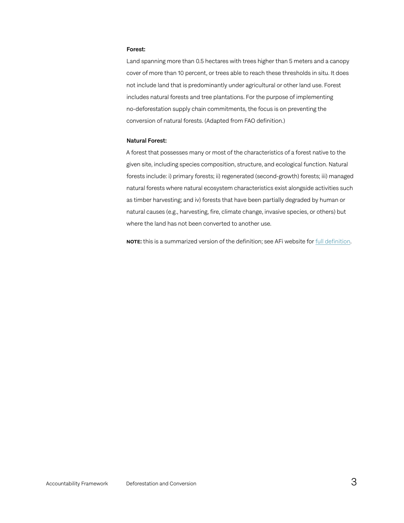#### Forest:

Land spanning more than 0.5 hectares with trees higher than 5 meters and a canopy cover of more than 10 percent, or trees able to reach these thresholds in situ. It does not include land that is predominantly under agricultural or other land use. Forest includes natural forests and tree plantations. For the purpose of implementing no-deforestation supply chain commitments, the focus is on preventing the conversion of natural forests. (Adapted from FAO definition.)

#### Natural Forest:

A forest that possesses many or most of the characteristics of a forest native to the given site, including species composition, structure, and ecological function. Natural forests include: i) primary forests; ii) regenerated (second-growth) forests; iii) managed natural forests where natural ecosystem characteristics exist alongside activities such as timber harvesting; and iv) forests that have been partially degraded by human or natural causes (e.g., harvesting, fire, climate change, invasive species, or others) but where the land has not been converted to another use.

NOTE: this is a summarized version of the definition; see AFi website for [full definition](https://accountability-framework.org/definitions/?definition_category=17).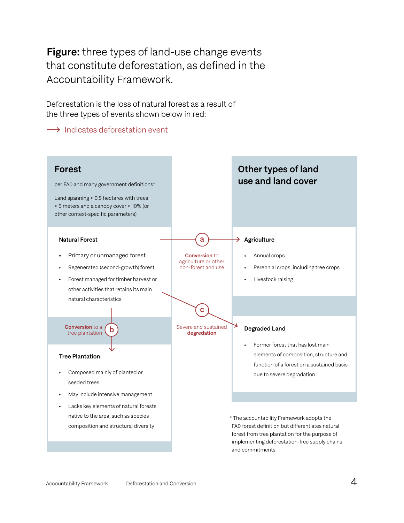Figure: three types of land-use change events that constitute deforestation, as defined in the Accountability Framework.

Deforestation is the loss of natural forest as a result of the three types of events shown below in red:

 $\rightarrow$  Indicates deforestation event

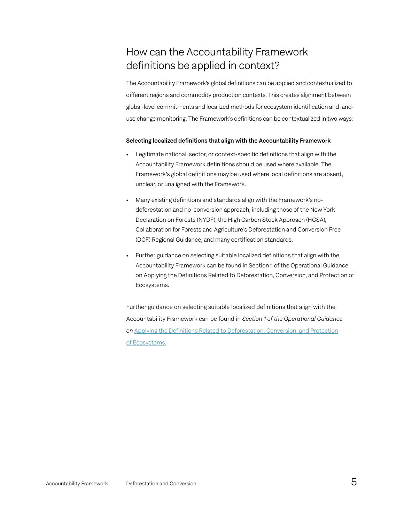### How can the Accountability Framework definitions be applied in context?

The Accountability Framework's global definitions can be applied and contextualized to different regions and commodity production contexts. This creates alignment between global-level commitments and localized methods for ecosystem identification and landuse change monitoring. The Framework's definitions can be contextualized in two ways:

### Selecting localized definitions that align with the Accountability Framework

- Legitimate national, sector, or context-specific definitions that align with the Accountability Framework definitions should be used where available. The Framework's global definitions may be used where local definitions are absent, unclear, or unaligned with the Framework.
- Many existing definitions and standards align with the Framework's nodeforestation and no-conversion approach, including those of the New York Declaration on Forests (NYDF), the High Carbon Stock Approach (HCSA), Collaboration for Forests and Agriculture's Deforestation and Conversion Free (DCF) Regional Guidance, and many certification standards.
- Further guidance on selecting suitable localized definitions that align with the Accountability Framework can be found in Section 1 of the Operational Guidance on Applying the Definitions Related to Deforestation, Conversion, and Protection of Ecosystems.

Further guidance on selecting suitable localized definitions that align with the Accountability Framework can be found in *Section 1 of the Operational Guidance on* [Applying the Definitions Related to Deforestation, Conversion, and Protection](https://accountability-framework.org/contents-of-the-framework/applying-the-definitions-related-to-deforestation-conversion-and-protection-of-ecosystems/) [of Ecosystems.](https://accountability-framework.org/contents-of-the-framework/applying-the-definitions-related-to-deforestation-conversion-and-protection-of-ecosystems/)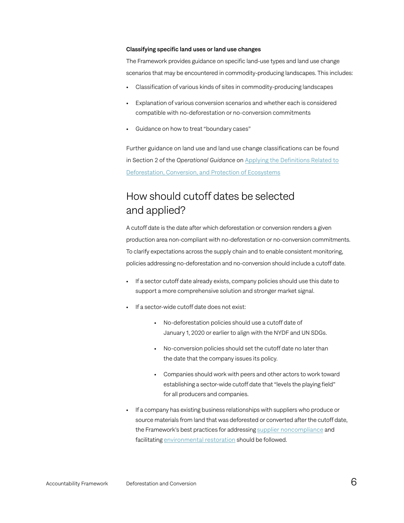#### Classifying specific land uses or land use changes

The Framework provides guidance on specific land-use types and land use change scenarios that may be encountered in commodity-producing landscapes. This includes:

- Classification of various kinds of sites in commodity-producing landscapes
- Explanation of various conversion scenarios and whether each is considered compatible with no-deforestation or no-conversion commitments
- Guidance on how to treat "boundary cases"

Further guidance on land use and land use change classifications can be found in Section 2 of the *Operational Guidance* on [Applying the Definitions Related to](https://accountability-framework.org/contents-of-the-framework/applying-the-definitions-related-to-deforestation-conversion-and-protection-of-ecosystems/) [Deforestation, Conversion, and Protection of Ecosystems](https://accountability-framework.org/contents-of-the-framework/applying-the-definitions-related-to-deforestation-conversion-and-protection-of-ecosystems/)

### How should cutoff dates be selected and applied?

A cutoff date is the date after which deforestation or conversion renders a given production area non-compliant with no-deforestation or no-conversion commitments. To clarify expectations across the supply chain and to enable consistent monitoring, policies addressing no-deforestation and no-conversion should include a cutoff date.

- If a sector cutoff date already exists, company policies should use this date to support a more comprehensive solution and stronger market signal.
- If a sector-wide cutoff date does not exist:
	- No-deforestation policies should use a cutoff date of January 1, 2020 or earlier to align with the NYDF and UN SDGs.
	- No-conversion policies should set the cutoff date no later than the date that the company issues its policy.
	- Companies should work with peers and other actors to work toward establishing a sector-wide cutoff date that "levels the playing field" for all producers and companies.
- If a company has existing business relationships with suppliers who produce or source materials from land that was deforested or converted after the cutoff date, the Framework's best practices for addressing [supplier noncompliance](https://accountability-framework.org/the-framework/topics/supplier-management/) and facilitating [environmental restoration](https://accountability-framework.org/core-principles/9-access-to-remedy-and-environmental-restoration/) should be followed.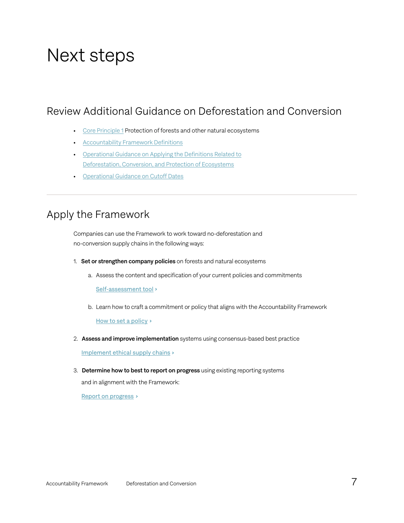# Next steps

### Review Additional Guidance on Deforestation and Conversion

- [Core Principle 1](https://accountability-framework.org/core-principles/1-protection-of-forests-and-other-natural-ecosystems) Protection of forests and other natural ecosystems
- [Accountability Framework Definitions](https://accountability-framework.org/definitions/)
- [Operational Guidance on Applying the Definitions Related to](https://accountability-framework.org/contents-of-the-framework/applying-the-definitions-related-to-deforestation-conversion-and-protection-of-ecosystems/) [Deforestation, Conversion, and Protection of Ecosystems](https://accountability-framework.org/contents-of-the-framework/applying-the-definitions-related-to-deforestation-conversion-and-protection-of-ecosystems/)
- [Operational Guidance on Cutoff Dates](https://accountability-framework.org/contents-of-the-framework/cutoff-dates/)

### Apply the Framework

Companies can use the Framework to work toward no-deforestation and no-conversion supply chains in the following ways:

- 1. Set or strengthen company policies on forests and natural ecosystems
	- a. Assess the content and specification of your current policies and commitments

[Self-assessment tool](https://www.accountability-framework.org/how-to-use-it/apply-the-framework/self-assessment/)

b. Learn how to craft a commitment or policy that aligns with the Accountability Framework

[How to set a policy](https://www.accountability-framework.org/how-to-use-it/resources-library/how-to-write-a-strong-ethical-supply-chain-policy/) >

2. Assess and improve implementation systems using consensus-based best practice

[Implement ethical supply chains](https://www.accountability-framework.org/how-to-use-it/apply-the-framework/implementation/) >

3. Determine how to best to report on progress using existing reporting systems

and in alignment with the Framework:

[Report on progress](https://www.accountability-framework.org/how-to-use-it/apply-the-framework/reporting/)